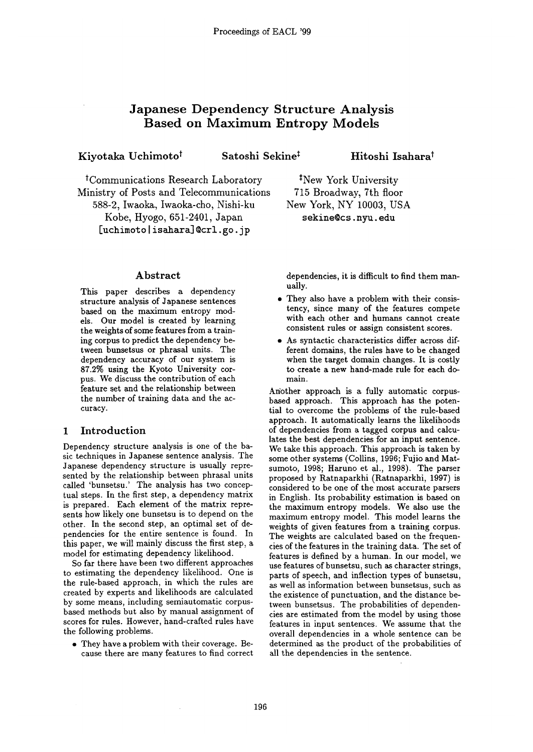# **Japanese Dependency Structure Analysis Based on Maximum Entropy Models**

Kiyotaka Uchimoto<sup>†</sup> Satoshi Sekine<sup>‡</sup> Hitoshi Isahara<sup>†</sup>

tCommunications Research Laboratory Ministry of Posts and Telecommunications 588-2, Iwaoka, Iwaoka-cho, Nishi-ku Kobe, Hyogo, 651-2401, Japan [uchimoto | isahara] @crl.go.jp

## Abstract

This paper describes a dependency structure analysis of Japanese sentences based on the maximum entropy models. Our model is created by learning the weights of some features from a training corpus to predict the dependency between bunsetsus or phrasal units. The dependency accuracy of our system is 87.2% using the Kyoto University corpus. We discuss the contribution of each feature set and the relationship between the number of training data and the accuracy.

# **1** Introduction

Dependency structure analysis is one of the basic techniques in Japanese sentence analysis. The Japanese dependency structure is usually represented by the relationship between phrasal units called 'bunsetsu.' The analysis has two conceptual steps. In the first step, a dependency matrix is prepared. Each element of the matrix represents how likely one bunsetsu is to depend on the other. In the second step, an optimal set of dependencies for the entire sentence is found. In this paper, we will mainly discuss the first step, a model for estimating dependency likelihood.

So far there have been two different approaches to estimating the dependency likelihood, One is the rule-based approach, in which the rules are created by experts and likelihoods are calculated by some means, including semiautomatic corpusbased methods but also by manual assignment of scores for rules. However, hand-crafted rules have the following problems.

• They have a problem with their coverage. Because there are many features to find correct New York, NY 10003, USA sekine@cs.nyu.edu

<sup>‡</sup>New York University 715 Broadway, 7th floor

dependencies, it is difficult to find them manually.

- They also have a problem with their consistency, since many of the features compete with each other and humans cannot create consistent rules or assign consistent scores.
- As syntactic characteristics differ across different domains, the rules have to be changed when the target domain changes. It is costly to create a new hand-made rule for each domain.

Another approach is a fully automatic corpusbased approach. This approach has the potential to overcome the problems of the rule-based approach. It automatically learns the likelihoods of dependencies from a tagged corpus and calculates the best dependencies for an input sentence. We take this approach. This approach is taken by some other systems (Collins, 1996; Fujio and Matsumoto, 1998; Haruno et al., 1998). The parser proposed by Ratnaparkhi (Ratnaparkhi, 1997) is considered to be one of the most accurate parsers in English. Its probability estimation is based on the maximum entropy models. We also use the maximum entropy model. This model learns the weights of given features from a training corpus. The weights are calculated based on the frequencies of the features in the training data. The set of features is defined by a human. In our model, we use features of bunsetsu, such as character strings, parts of speech, and inflection types of bunsetsu, as well as information between bunsetsus, such as the existence of punctuation, and the distance between bunsetsus. The probabilities of dependencies are estimated from the model by using those features in input sentences. We assume that the overall dependencies in a whole sentence can be determined as the product of the probabilities of all the dependencies in the sentence.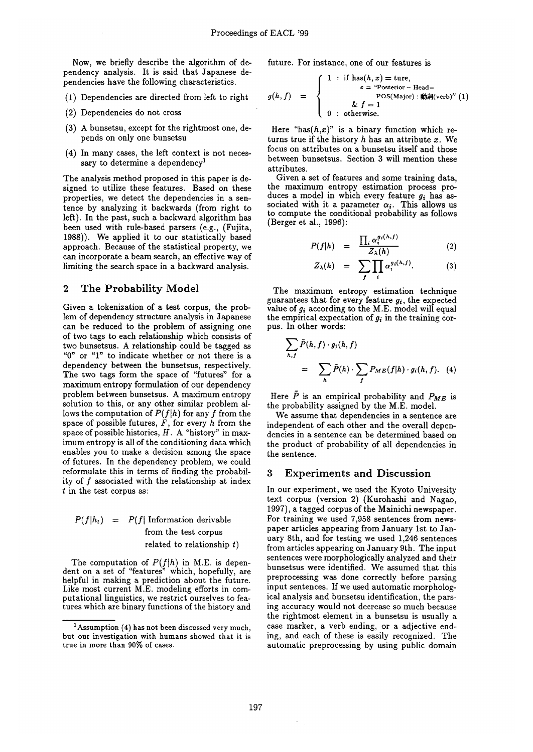Now, we briefly describe the algorithm of dependency analysis. It is said that Japanese dependencies have the following characteristics.

- (1) Dependencies are directed from left to right
- (2) Dependencies do not cross
- (3) A bunsetsu, except for the rightmost one, depends on only one bunsetsu
- (4) In many cases, the left context is not necessary to determine a dependency<sup>1</sup>

The analysis method proposed in this paper is designed to utilize these features. Based on these properties, we detect the dependencies in a sentence by analyzing it backwards (from right to left). In the past, such a backward algorithm has been used with rule-based parsers (e.g., (Fujita, 1988)). We applied it to our statistically based approach. Because of the statistical property, we can incorporate a beam search, an effective way of limiting the search space in a backward analysis.

## **2 The Probability Model**

Given a tokenization of a test corpus, the problem of dependency structure analysis in Japanese can be reduced to the problem of assigning one of two tags to each relationship which consists of two bunsetsus. A relationship could be tagged as "0" or "1" to indicate whether or not there is a dependency between the bunsetsus, respectively. The two tags form the space of "futures" for a maximum entropy formulation of our dependency problem between bunsetsus. A maximum entropy solution to this, or any other similar problem allows the computation of  $P(f|h)$  for any f from the space of possible futures,  $F$ , for every  $h$  from the space of possible histories,  $H$ . A "history" in maximum entropy is all of the conditioning data which enables you to make a decision among the space of futures. In the dependency problem, we could reformulate this in terms of finding the probability of f associated with the relationship at index t in the test corpus as:

# $P(f|h_t) = P(f)$  Information derivable from the test corpus related to relationship  $t$ )

The computation of *P(f]h)* in M.E. is dependent on a set of "features" which, hopefully, are helpful in making a prediction about the future. Like most current M.E. modeling efforts in computational linguistics, we restrict ourselves to features which are binary functions of the history and

future. For instance, one of our features is

$$
g(h,f) = \begin{cases} 1 : \text{ if } \text{ has}(h,x) = \text{ture}, \\ x = \text{``Posterior} - \text{Head} - \\ \text{pos}(\text{Major}) : \text{m\'{m}}(\text{verb})'' (1) \\ 0 : \text{otherwise.} \end{cases}
$$

Here "has( $h,x$ )" is a binary function which returns true if the history  $h$  has an attribute  $x$ . We focus on attributes on a bunsetsu itself and those between bunsetsus. Section 3 will mention these attributes.

Given a set of features and some training data, the maximum entropy estimation process produces a model in which every feature *gi has as*sociated with it a parameter  $\alpha_i$ . This allows us to compute the conditional probability as follows (Berger et al., 1996):

$$
P(f|h) = \frac{\prod_{i} \alpha_i^{g_i(h,f)}}{Z_{\lambda}(h)}
$$
 (2)

$$
Z_{\lambda}(h) = \sum_{f} \prod_{i} \alpha_i^{g_i(h,f)}.
$$
 (3)

The maximum entropy estimation technique guarantees that for every feature *gi,* the expected value of  $g_i$  according to the M.E. model will equal the empirical expectation of *gi* in the training corpus. In other words:

$$
\sum_{h,f} \tilde{P}(h,f) \cdot g_i(h,f)
$$
  
= 
$$
\sum_{h} \tilde{P}(h) \cdot \sum_{f} P_{ME}(f|h) \cdot g_i(h,f).
$$
 (4)

Here  $\tilde{P}$  is an empirical probability and  $P_{ME}$  is the probability assigned by the M.E. model.

We assume that dependencies in a sentence are independent of each other and the overall dependencies in a sentence can be determined based on the product of probability of all dependencies in the sentence.

## **3 Experiments and Discussion**

In our experiment, we used the Kyoto University text corpus (version 2) (Kurohashi and Nagao, 1997), a tagged corpus of the Mainichi newspaper. For training we used 7,958 sentences from newspaper articles appearing from January 1st to January 8th, and for testing we used 1,246 sentences from articles appearing on January 9th. The input sentences were morphologically analyzed and their bunsetsus were identified. We assumed that this preprocessing was done correctly before parsing input sentences. If we used automatic morphological analysis and bunsetsu identification, the parsing accuracy would not decrease so much because the rightmost element in a bunsetsu is usually a case marker, a verb ending, or a adjective ending, and each of these is easily recognized. The automatic preprocessing by using public domain

<sup>&</sup>lt;sup>1</sup> Assumption (4) has not been discussed very much, but our investigation with humans showed that it is true in more than 90% of cases.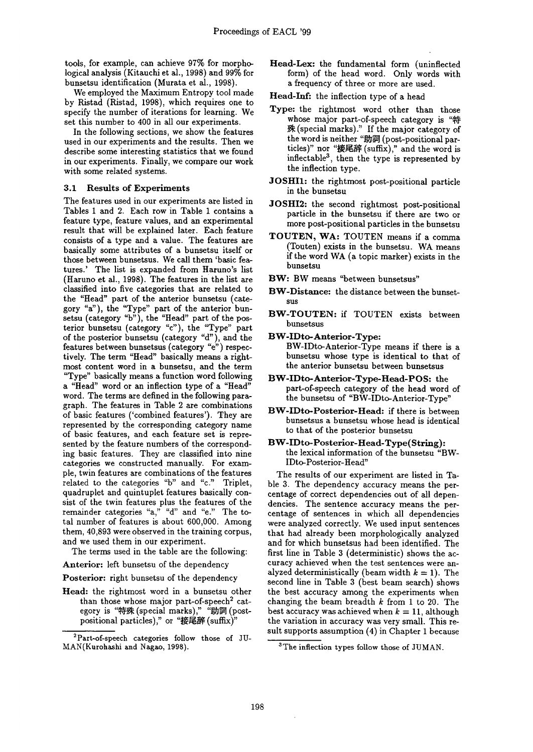tools, for example, can achieve 97% for morphological analysis (Kitauchi et al., 1998) and 99% for bunsetsu identification (Murata et al., 1998).

We employed the Maximum Entropy tool made by Ristad (Ristad, 1998), which requires one to specify the number of iterations for learning. We set this number to 400 in all our experiments.

In the following sections, we show the features used in our experiments and the results. Then we describe some interesting statistics that we found in our experiments. Finally, we compare our work with some related systems.

### 3.1 Results of Experiments

The features used in our experiments are listed in Tables 1 and 2. Each row in Table 1 contains a feature type, feature values, and an experimental result that will be explained later. Each feature consists of a type and a value. The features are basically some attributes of a bunsetsu itself or those between bunsetsus. We call them 'basic features.' The list is expanded from Haruno's list (Haruno et al., 1998). The features in the list are classified into five categories that are related to the "Head" part of the anterior bunsetsu (category "a"), the "Type" part of the anterior bunsetsu (category "b"), the "Head" part of the posterior bunsetsu (category "c"), the "Type" part of the posterior bunsetsu (category "d"), and the features between bunsetsus (category "e") respectively. The term "Head" basically means a rightmost content word in a bunsetsu, and the term "Type" basically means a function word following a "Head" word or an inflection type of a "Head" word. The terms are defined in the following paragraph. The features in Table 2 are combinations of basic features ('combined features'). They are represented by the corresponding category name of basic features, and each feature set is represented by the feature numbers of the corresponding basic features. They are classified into nine categories we constructed manually. For example, twin features are combinations of the features related to the categories "b" and "c." Triplet, quadruplet and quintuplet features basically consist of the twin features plus the features of the remainder categories "a," "d" and "e." The total number of features is about 600,000. Among them, 40,893 were observed in the training corpus, and we used them in our experiment.

The terms used in the table are the following:

Anterior: left bunsetsu of the dependency

Posterior: right bunsetsu of the dependency

Head: the rightmost word in a bunsetsu other than those whose major part-of-speech<sup>2</sup> category is "特殊 (special marks)," "助詞 (postpositional particles)," or "接尾辞 (suffix)"

- Head-Lex: the fundamental form (uninflected form) of the head word. Only words with a frequency of three or more are used.
- Head-Inf: the inflection type of a head
- **Type:** the rightmost word other than those whose major part-of-speech category is "特 (special marks)." If the major category of the word is neither "助詞 (post-positional particles)" nor "接尾辞 (suffix)," and the word is inflectable<sup>3</sup>, then the type is represented by the inflection type.
- JOSHI1: the rightmost post-positional particle in the bunsetsu
- JOSHI2: the second rightmost post-positional particle in the bunsetsu if there are two or more post-positional particles in the bunsetsu
- TOUTEN, WA: TOUTEN means if a comma (Touten) exists in the bunsetsu. WA means if the word WA (a topic marker) exists in the bunsetsu
- BW: BW means "between bunsetsus"
- BW-Distance: the distance between the bunsetsus
- BW-TOUTEN: if TOUTEN exists between bunsetsus
- BW-IDto-Anterior-Type: BW-IDto-Anterior-Type means if there is a bunsetsu whose type is identical to that of the anterior bunsetsu between bunsetsus
- BW-IDto-Anterior-Type-Head-POS: the part-of-speech category of the head word of the bunsetsu of "BW-IDto-Anterior-Type"
- BW-IDto-Posterior-Head: if there is between bunsetsus a bunsetsu whose head is identical to that of the posterior bunsetsu
- BW-IDto-Posterior- Head-Type(String): the lexical information of the bunsetsu "BW-IDto-Posterior-Head"

The results of our experiment are listed in Table 3. The dependency accuracy means the percentage of correct dependencies out of all dependencies. The sentence accuracy means the percentage of sentences in which all dependencies were analyzed correctly. We used input sentences that had already been morphologically analyzed and for which bunsetsus had been identified. The first line in Table 3 (deterministic) shows the accuracy achieved when the test sentences were analyzed deterministically (beam width  $k = 1$ ). The second line in Table 3 (best beam search) shows the best accuracy among the experiments when changing the beam breadth  $k$  from 1 to 20. The best accuracy was achieved when  $k = 11$ , although the variation in accuracy was very small. This result supports assumption (4) in Chapter 1 because

<sup>&</sup>lt;sup>2</sup>Part-of-speech categories follow those of JU-MAN(Kurohashi and Nagao, 1998).

<sup>3</sup>The inflection types follow those of JUMAN.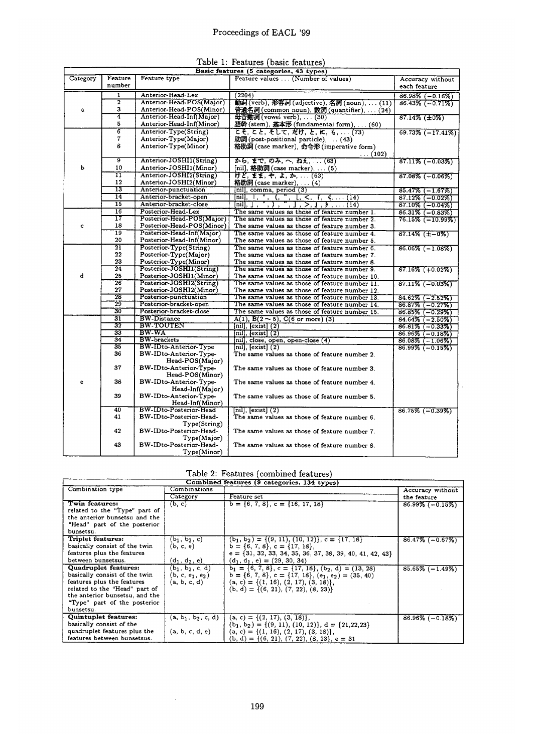| Table 1: Features (basic features) |  |  |
|------------------------------------|--|--|
|                                    |  |  |

| Feature<br>Category<br>number<br>1 | Feature type<br>Anterior-Head-Lex<br>Anterior-Head-POS(Major) | Feature values  (Number of values)<br>(2204)                                                                                                                                                                                                     | Accuracy without<br>each feature |
|------------------------------------|---------------------------------------------------------------|--------------------------------------------------------------------------------------------------------------------------------------------------------------------------------------------------------------------------------------------------|----------------------------------|
|                                    |                                                               |                                                                                                                                                                                                                                                  |                                  |
|                                    |                                                               |                                                                                                                                                                                                                                                  |                                  |
|                                    |                                                               |                                                                                                                                                                                                                                                  | $86.98\%$ (-0.16%)               |
| $\overline{2}$                     |                                                               | 勤詞 (verb), 形容詞 (adjective), 名詞 (noun),  (11)                                                                                                                                                                                                     | $86.43\%$ (-0.71%)               |
| 3<br>a                             | Anterior-Head-POS(Minor)                                      | 普通名詞 (common noun), 数詞 (quantifier),  (24)                                                                                                                                                                                                       |                                  |
| 4                                  | Anterior-Head-Inf(Major)                                      | 母音動詞 (vowel verb),  (30)                                                                                                                                                                                                                         | $87.14\%$ ( $\pm 0\%$ )          |
| 5                                  | Anterior-Head-Inf(Minor)                                      | 語幹 (stem), 基本形 (fundamental form),  (60)                                                                                                                                                                                                         |                                  |
| $\overline{6}$                     | Anterior-Type(String)                                         | こそ, こと, そして, だけ, と, に, も,  (73)                                                                                                                                                                                                                  | $69.73\%$ $(-17.41\%)$           |
| $\overline{\mathbf{r}}$            | Anterior-Type(Major)                                          | 助詞 (post-positional particle),  (43)                                                                                                                                                                                                             |                                  |
| 8                                  | Anterior-Type(Minor)                                          | 格助詞 (case marker), 命令形 (imperative form)                                                                                                                                                                                                         |                                  |
|                                    |                                                               | $\ldots(102)$                                                                                                                                                                                                                                    |                                  |
| ब्र                                | Anterior-JOSHI1(String)                                       | から, まで, のみ, へ, ねえ,  (63)                                                                                                                                                                                                                         | $87.11\%$ (-0.03%)               |
| b<br>10                            | Anterior-JOSHI1(Minor)                                        | [nil], 格助詞 (case marker),  (5)                                                                                                                                                                                                                   |                                  |
| π                                  | Anterior-JOSHI2(String)                                       | <i>H</i> Z, II, P, I, D,  (63)                                                                                                                                                                                                                   | $87.08\%$ (-0.06%)               |
| 12                                 | Anterior-JOSHI2(Minor)                                        | 格助詞 (case marker),  (4)                                                                                                                                                                                                                          |                                  |
| 13                                 | Anterior-punctuation                                          | [nil], comma, period (3)                                                                                                                                                                                                                         | $85.47\%$ (-1.67%)               |
| 14                                 | Anterior-bracket-open                                         | $\overline{\text{null}}, \overline{\phantom{0}}$ , $\overline{\phantom{0}}$ , $\overline{\phantom{0}}$<br>$[0, 5, 1, 4, \ldots (14)]$                                                                                                            | $87.12\%$ (-0.02%)               |
| 15                                 | Anterior-bracket-close                                        | [nil], $\left[\begin{matrix}1 & 1 \\ 1 & 1 \end{matrix}\right]$ , $\left[\begin{matrix}0 & 1 \\ 1 & 1 \end{matrix}\right]$ , $\left[\begin{matrix}0 & 1 \\ 1 & 1 \end{matrix}\right]$ , $\left[\begin{matrix}0 & 1 \\ 1 & 1 \end{matrix}\right]$ | $87.10\%$ ( $-0.04\%$ )          |
| 16                                 | Posterior-Head-Lex                                            | The same values as those of feature number 1.                                                                                                                                                                                                    | $86.31\%$ (-0.83%)               |
| 17                                 | Posterior-Head-POS(Major)                                     | The same values as those of feature number 2.                                                                                                                                                                                                    | $76.15\%$ ( $-10.99\%$ )         |
| 18<br>$\mathbf{c}$                 | Posterior-Head-POS(Minor)                                     | The same values as those of feature number 3.                                                                                                                                                                                                    |                                  |
| 19                                 | Posterior-Head-Inf(Major)                                     | The same values as those of feature number 4.                                                                                                                                                                                                    | $87.14\%$ ( $\pm -0\%$ )         |
| 20                                 | Posterior-Head-Inf(Minor)                                     | The same values as those of feature number 5.                                                                                                                                                                                                    |                                  |
| $\overline{21}$                    | Posterior-Type(String)                                        | The same values as those of feature number 6.                                                                                                                                                                                                    | $86.06\%$ (-1.08%)               |
| $22\,$                             | Posterior-Type(Major)                                         | The same values as those of feature number 7.                                                                                                                                                                                                    |                                  |
| 23                                 | Posterior-Type(Minor)                                         | The same values as those of feature number 8.                                                                                                                                                                                                    |                                  |
| 24                                 | Posterior-JOSHI1(String)                                      | The same values as those of feature number 9.                                                                                                                                                                                                    | $87.16\%$ (+0.02%)               |
| d<br>25                            | Posterior-JOSHI1(Minor)                                       | The same values as those of feature number 10.                                                                                                                                                                                                   |                                  |
| $\overline{26}$                    | Posterior-JOSHI2(String)                                      | The same values as those of feature number 11.                                                                                                                                                                                                   | $87.11\%$ (-0.03%)               |
| 27                                 | Posterior-JOSHI2(Minor)                                       | The same values as those of feature number 12.                                                                                                                                                                                                   |                                  |
| 28                                 | Posterior-punctuation                                         | The same values as those of feature number 13.                                                                                                                                                                                                   | $84.62\%$ (-2.52%)               |
| 29                                 | Posterior-bracket-open                                        | The same values as those of feature number 14.                                                                                                                                                                                                   | $86.87\%$ (-0.27%)               |
| 30                                 | Posterior-bracket-close                                       | The same values as those of feature number 15.                                                                                                                                                                                                   | $86.85\%$ (-0.29%)               |
| $\overline{31}$                    | <b>BW-Distance</b>                                            | $A(1), B(2 \sim 5), C(6 \text{ or more})$ (3)                                                                                                                                                                                                    | $84.64\%$ $(-2.50\%)$            |
| 32                                 | <b>BW-TOUTEN</b>                                              | $\overline{{\rm [nil]}}$ , $\overline{{\rm [exist]}}$ $(2)$                                                                                                                                                                                      | $86.81\%$ (-0.33%)               |
| $\overline{33}$                    | <b>BW-WA</b>                                                  | $[nill,$ $[exist]$ $(2)$                                                                                                                                                                                                                         | $86.96\%$ (-0.18%)               |
| 34                                 | <b>BW-brackets</b>                                            | mil, close, open, open-close (4)                                                                                                                                                                                                                 | $86.08\%$ (-1.06%)               |
| 35                                 | BW-IDto-Anterior-Type                                         | [nil], $[exist]$ $(2)$                                                                                                                                                                                                                           | $86.99\%$ (-0.15%)               |
| 36                                 | BW-IDto-Anterior-Type-                                        | The same values as those of feature number 2.                                                                                                                                                                                                    |                                  |
|                                    | Head-POS(Major)                                               |                                                                                                                                                                                                                                                  |                                  |
| 37                                 | BW-IDto-Anterior-Type-                                        | The same values as those of feature number 3.                                                                                                                                                                                                    |                                  |
|                                    | Head-POS(Minor)                                               |                                                                                                                                                                                                                                                  |                                  |
| 38<br>e                            | BW-IDto-Anterior-Type-                                        | The same values as those of feature number 4.                                                                                                                                                                                                    |                                  |
|                                    | Head-Inf(Major)                                               |                                                                                                                                                                                                                                                  |                                  |
| 39                                 | BW-IDto-Anterior-Type-                                        | The same values as those of feature number 5.                                                                                                                                                                                                    |                                  |
| 40                                 | Head-Inf(Minor)<br><b>BW-IDto-Posterior-Head</b>              | $[nill,$ $[exist](2)$                                                                                                                                                                                                                            |                                  |
| 41                                 | BW-IDto-Posterior-Head-                                       | The same values as those of feature number 6.                                                                                                                                                                                                    | $86.75\%$ (-0.39%)               |
|                                    | Type(String)                                                  |                                                                                                                                                                                                                                                  |                                  |
| 42                                 | BW-IDto-Posterior-Head-                                       | The same values as those of feature number 7.                                                                                                                                                                                                    |                                  |
|                                    | Type(Major)                                                   |                                                                                                                                                                                                                                                  |                                  |
| 43                                 | BW-IDto-Posterior-Head-                                       | The same values as those of feature number 8.                                                                                                                                                                                                    |                                  |
|                                    | Type(Minor)                                                   |                                                                                                                                                                                                                                                  |                                  |

# Table 2: Features (combined features)

| Combined features (9 categories, 134 types)                                                                                                                                                         |                                                                                |                                                                                                                                                                                                                 |                    |
|-----------------------------------------------------------------------------------------------------------------------------------------------------------------------------------------------------|--------------------------------------------------------------------------------|-----------------------------------------------------------------------------------------------------------------------------------------------------------------------------------------------------------------|--------------------|
| Combination type                                                                                                                                                                                    | Combinations                                                                   |                                                                                                                                                                                                                 | Accuracy without   |
|                                                                                                                                                                                                     | Category                                                                       | Feature set                                                                                                                                                                                                     | the feature        |
| Twin features:<br>related to the "Type" part of<br>the anterior bunsetsu and the<br>"Head" part of the posterior<br>bunsetsu.                                                                       | (b, c)                                                                         | $b = \{6, 7, 8\}, c = \{16, 17, 18\}$                                                                                                                                                                           | $86.99\%$ (-0.15%) |
| Triplet features:<br>basically consist of the twin<br>features plus the features<br>between bunsetsus.                                                                                              | $(b_1, b_2, c)$<br>(b, c, e)<br>$(d_1, d_2, e)$                                | $(b_1, b_2) = \{(9, 11), (10, 12)\}, c = \{17, 18\}$<br>$b = \{6, 7, 8\}, c = \{17, 18\},\$<br>$e = \{31, 32, 33, 34, 35, 36, 37, 38, 39, 40, 41, 42, 43\}$<br>$(d_1, d_1, e) = (29, 30, 34)$                   | $86.47\%$ (-0.67%) |
| Quadruplet features:<br>basically consist of the twin<br>features plus the features<br>related to the "Head" part of<br>the anterior bunsetsu, and the<br>"Type" part of the posterior<br>bunsetsu. | $(b_1, b_2, c, d)$<br>(b, c, e <sub>1</sub> , e <sub>2</sub> )<br>(a, b, c, d) | $b_1 = \{6, 7, 8\}, c = \{17, 18\}, (b_2, d) = (13, 28)$<br>$b = \{6, 7, 8\}, c = \{17, 18\}, (e_1, e_2) = (35, 40)$<br>$(a, c) = \{(1, 16), (2, 17), (3, 18)\},\$<br>$(b, d) = \{(6, 21), (7, 22), (8, 23)\}\$ | $85.65\%$ (-1.49%) |
| Quintuplet features:<br>basically consist of the<br>quadruplet features plus the<br>features between bunsetsus.                                                                                     | $(a, b1, b2, c, d)$<br>(a, b, c, d, e)                                         | $(a, c) = \{(2, 17), (3, 18)\},\$<br>$(b_1, b_2) = \{(9, 11), (10, 12)\}, d = \{21, 22, 23\}$<br>$(a, c) = \{(1, 16), (2, 17), (3, 18)\},\$<br>$(b, d) = \{(6, 21), (7, 22), (8, 23), e = 31\}$                 | $86.96\%$ (-0.18%) |

 $\sim 10^{-1}$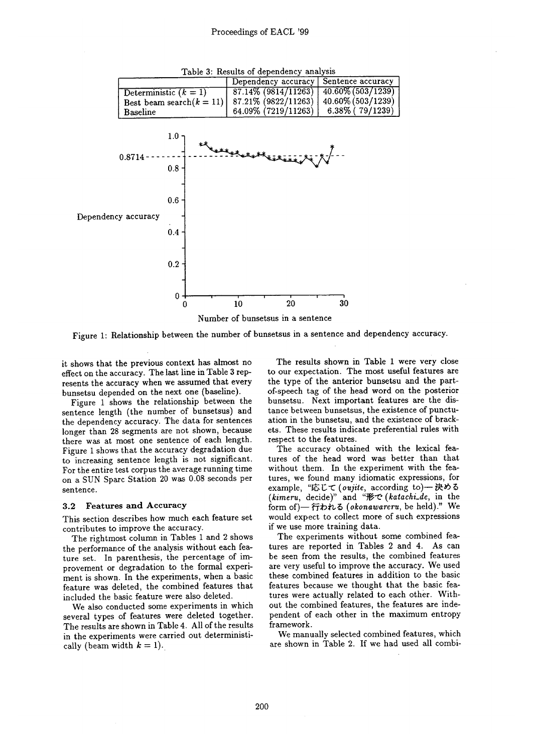

Table 3: Results of dependency analysis

Figure 1: Relationship between the number of bunsetsus in a sentence and dependency accuracy.

it shows that the previous context has almost no effect on the accuracy. The last line in Table 3 represents the accuracy when we assumed that every bunsetsu depended on the next one (baseline).

Figure 1 shows the relationship between the sentence length (the number of bunsetsus) and the dependency accuracy. The data for sentences longer than 28 segments are not shown, because there was at most one sentence of each length. Figure 1 shows that the accuracy degradation due to increasing sentence length is not significant. For the entire test corpus the average running time on a SUN Sparc Station 20 was 0.08 seconds per sentence.

#### 3.2 Features and Accuracy

This section describes how much each feature set contributes to improve the accuracy.

The rightmost column in Tables 1 and 2 shows the performance of the analysis without each feature set. In parenthesis, the percentage of improvement or degradation to the formal experiment is shown. In the experiments, when a basic feature was deleted, the combined features that included the basic feature were also deleted.

We also conducted some experiments in which several types of features were deleted together. The results are shown in Table 4. All of the results in the experiments were carried out deterministically (beam width  $k = 1$ ).

The results shown in Table 1 were very close to our expectation. The most useful features are the type of the anterior bunsetsu and the partof-speech tag of the head word on the posterior bunsetsu. Next important features are the distance between bunsetsus, the existence of punctuation in the bunsetsu, and the existence of brackets. These results indicate preferential rules with respect to the features.

The accuracy obtained with the lexical features of the head word was better than that without them. In the experiment with the features, we found many idiomatic expressions, for example, "応じて (oujite, according to)–决める *(kimeru, decide)*" and "形で (katachi\_de, in the form of)-行われる (okonawareru, be held)." We would expect to collect more of such expressions if we use more training data.

The experiments without some combined features are reported in Tables 2 and 4. As can be seen from the results, the combined features are very useful to improve the accuracy. We used these combined features in addition to the basic features because we thought that the basic features were actually related to each other. Without the combined features, the features are independent of each other in the maximum entropy framework.

We manually selected combined features, which are shown in Table 2. If we had used all combi-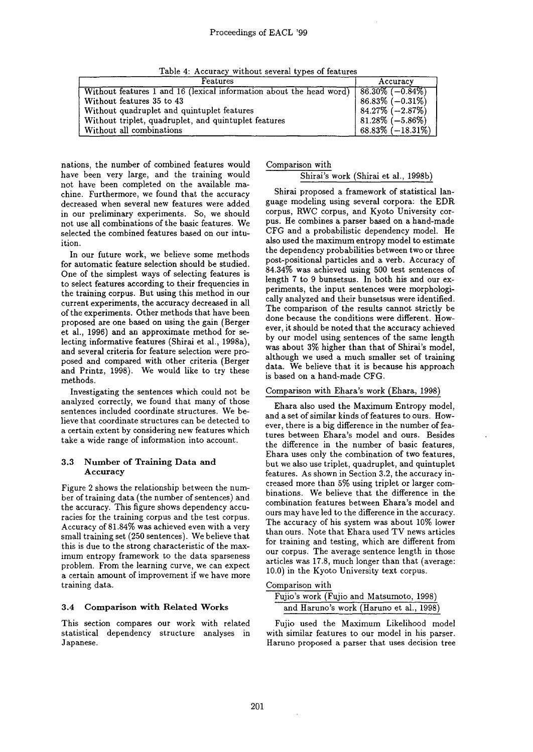Table 4: Accuracy without several types of features

| Features                                                                               | Accuracy               |
|----------------------------------------------------------------------------------------|------------------------|
| Without features 1 and 16 (lexical information about the head word) $86.30\%$ (-0.84%) |                        |
| Without features 35 to 43                                                              | $86.83\%$ (-0.31\%)    |
| Without quadruplet and quintuplet features                                             | $84.27\%$ $(-2.87\%)$  |
| Without triplet, quadruplet, and quintuplet features                                   | $ 81.28\%(-5.86\%) $   |
| Without all combinations                                                               | $68.83\%$ $(-18.31\%)$ |

nations, the number of combined features would have been very large, and the training would not have been completed on the available machine. Furthermore, we found that the accuracy decreased when several new features were added in our preliminary experiments. So, we should not use all combinations of the basic features. We selected the combined features based on our intuition.

In our future work, we believe some methods for automatic feature selection should be studied. One of the simplest ways of selecting features is to select features according to their frequencies in the training corpus. But using this method in our current experiments, the accuracy decreased in all of the experiments. Other methods that have been proposed are one based on using the gain (Berger et al., 1996) and an approximate method for selecting informative features (Shirai et al., 1998a), and several criteria for feature selection were proposed and compared with other criteria (Berger and Printz, 1998). We would like to try these methods.

Investigating the sentences which could not be analyzed correctly, we found that many of those sentences included coordinate structures. We believe that coordinate structures can be detected to a certain extent by considering new features which take a wide range of information into account.

## 3.3 Number of Training Data and Accuracy

Figure 2 shows the relationship between the number of training data (the number of sentences) and the accuracy. This figure shows dependency accuracies for the training corpus and the test corpus. Accuracy of 81.84% was achieved even with a very small training set (250 sentences). We believe that this is due to the strong characteristic of the maximum entropy framework to the data sparseness problem. From the learning curve, we can expect a certain amount of improvement if we have more training data.

### 3.4 Comparison with Related Works

This section compares our work with related statistical dependency structure analyses in Japanese.

#### Comparison with

#### Shirai's work (Shirai et al., 1998b)

Shirai proposed a framework of statistical language modeling using several corpora: the EDR corpus, RWC corpus, and Kyoto University corpus. He combines a parser based on a hand-made CFG and a probabilistic dependency model. He also used the maximum entropy model to estimate the dependency probabilities between two or three post-positional particles and a verb. Accuracy of 84.34% was achieved using 500 test sentences of length 7 to 9 bunsetsus. In both his and our experiments, the input sentences were morphologically analyzed and their bunsetsus were identified. The comparison of the results cannot strictly be done because the conditions were different. However, it should be noted that the accuracy achieved by our model using sentences of the same length was about 3% higher than that of Shirai's model, although we used a much smaller set of training data. We believe that it is because his approach is based on a hand-made CFG.

### Comparison with Ehara's work (Ehara, 1998)

Ehara also used the Maximum Entropy model, and a set of similar kinds of features to ours. However, there is a big difference in the number of features between Ehara's model and ours. Besides the difference in the number of basic features, Ehara uses only the combination of two features, but we also use triplet, quadruplet, and quintuplet features. As shown in Section 3.2, the accuracy increased more than 5% using triplet or larger combinations. We believe that the difference in the combination features between Ehara's model and ours may have led to the difference in the accuracy. The accuracy of his system was about 10% lower than ours. Note that Ehara used TV news articles for training and testing, which are different from our corpus. The average sentence length in those articles was 17.8, much longer than that (average: 10.0) in the Kyoto University text corpus.

#### Comparison with

| Fujio's work (Fujio and Matsumoto, 1998) |  |
|------------------------------------------|--|
| and Haruno's work (Haruno et al., 1998)  |  |

Fujio used the Maximum Likelihood model with similar features to our model in his parser. Haruno proposed a parser that uses decision tree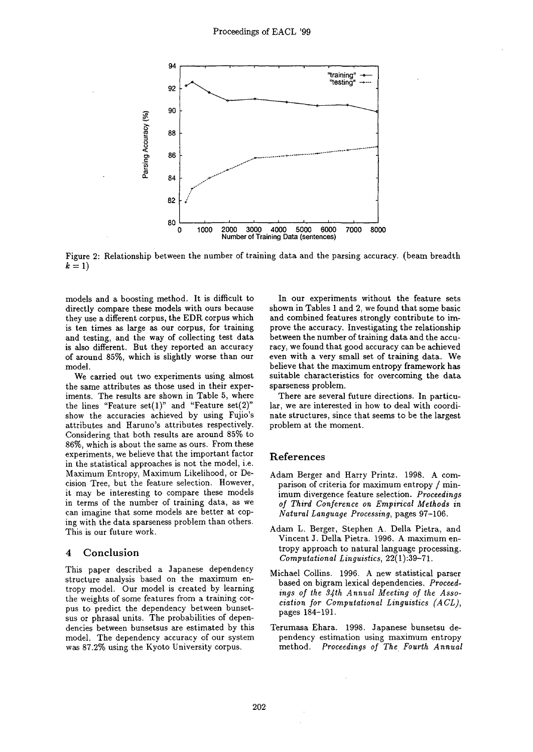

Figure 2: Relationship between the number of training data and the parsing accuracy. (beam breadth  $k=1$ 

models and a boosting method. It is difficult to directly compare these models with ours because they use a different corpus, the EDR corpus which is ten times as large as our corpus, for training and testing, and the way of collecting test data is also different. But they reported an accuracy of around 85%, which is slightly worse than our model.

We carried out two experiments using almost the same attributes as those used in their experiments. The results are shown in Table 5, where the lines "Feature set $(1)$ " and "Feature set $(2)$ " show the accuracies achieved by using Fujio's attributes and Haruno's attributes respectively. Considering that both results are around 85% to 86%, which is about the same as ours. From these experiments, we believe that the important factor in the statistical approaches is not the model, i.e. Maximum Entropy, Maximum Likelihood, or Decision Tree, but the feature selection. However, it may be interesting to compare these models in terms of the number of training data, as we can imagine that some models are better at coping with the data sparseness problem than others. This is our future work.

## 4 Conclusion

This paper described a Japanese dependency structure analysis based on the maximum entropy model. Our model is created by learning the weights of some features from a training corpus to predict the dependency between bunsetsus or phrasal units. The probabilities of dependencies between bunsetsus are estimated by this model. The dependency accuracy of our system was 87.2% using the Kyoto University corpus.

In our experiments without the feature sets shown in Tables 1 and 2, we found that some basic and combined features strongly contribute to improve the accuracy. Investigating the relationship between the number of training data and the accuracy, we found that good accuracy can be achieved even with a very small set of training data. We believe that the maximum entropy framework has suitable characteristics for overcoming the data sparseness problem.

There are several future directions. In particular, we are interested in how to deal with coordinate structures, since that seems to be the largest problem at the moment.

## References

- Adam Berger and Harry Printz. 1998. A comparison of criteria for maximum entropy / minimum divergence feature selection. *Proceedings of Third Conference on Empirical Methods in Natural Language Processing,* pages 97-106.
- Adam L. Berger, Stephen A. Della Pietra, and Vincent J. Della Pietra. 1996. A maximum entropy approach to natural language processing. *Computational Linguistics,* 22(1):39-71.
- Michael Collins. 1996. A new statistical parser based on bigram lexical dependencies. *Proceedings of the 34th Annual Meeting of the Association for Computational Linguistics (ACL),*  pages 184-191.
- Terumasa Ehara. 1998. Japanese bunsetsu dependency estimation using maximum entropy method. *Proceedings of The Fourth Annual*